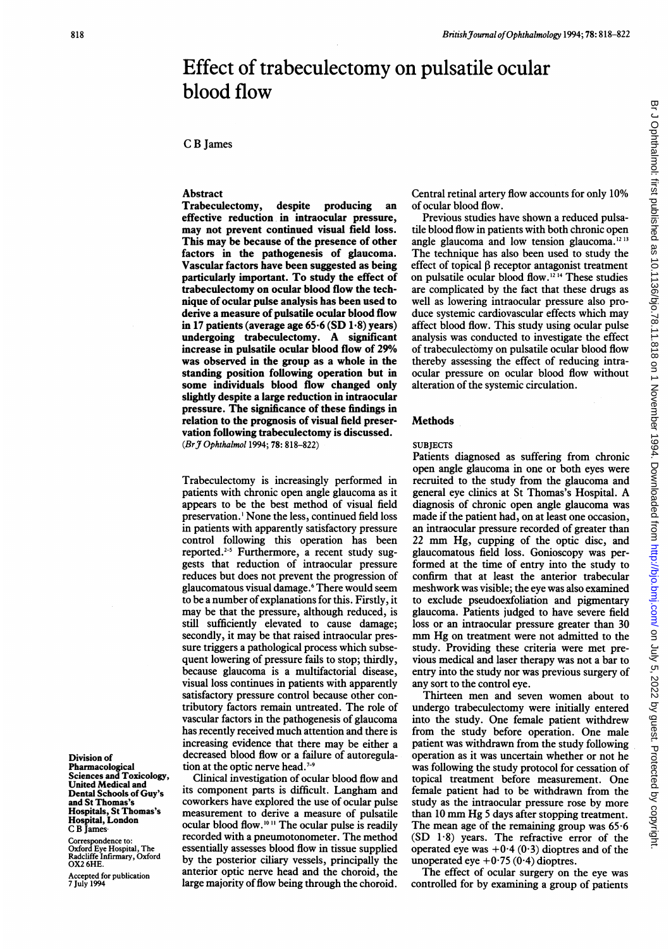# Effect of trabeculectomy on pulsatile ocular blood flow

# C B James

# Abstract

Trabeculectomy, despite producing an effective reduction in intraocular pressure, may not prevent continued visual field loss. This may be because of the presence of other factors in the pathogenesis of glaucoma. Vascular factors have been suggested as being particularly important. To study the effect of trabeculectomy on ocular blood flow the technique of ocular pulse analysis has been used to derive a measure of pulsatile ocular blood flow in 17 patients (average age  $65.6$  (SD  $1.8$ ) years) undergoing trabeculectomy. A significant increase in pulsatile ocular blood flow of 29% was observed in the group as a whole in the standing position following operation but in some individuals blood flow changed only slightly despite a large reduction in intraocular pressure. The significance of these findings in relation to the prognosis of visual field preservation following trabeculectomy is discussed. (Br J Ophthalmol 1994; 78: 818-822)

Trabeculectomy is increasingly performed in patients with chronic open angle glaucoma as it appears to be the best method of visual field preservation.' None the less, continued field loss in patients with apparently satisfactory pressure control following this operation has been reported.<sup>2-5</sup> Furthermore, a recent study suggests that reduction of intraocular pressure reduces but does not prevent the progression of glaucomatous visual damage.6 There would seem to be a number of explanations for this. Firstly, it may be that the pressure, although reduced, is still sufficiently elevated to cause damage; secondly, it may be that raised intraocular pressure triggers a pathological process which subsequent lowering of pressure fails to stop; thirdly, because glaucoma is a multifactorial disease, visual loss continues in patients with apparently satisfactory pressure control because other contributory factors remain untreated. The role of vascular factors in the pathogenesis of glaucoma has recently received much attention and there is increasing evidence that there may be either a decreased blood flow or a failure of autoregulation at the optic nerve head.<sup>7-9</sup>

Clinical investigation of ocular blood flow and its component parts is difficult. Langham and coworkers have explored the use of ocular pulse measurement to derive a measure of pulsatile ocular blood flow.'0 " The ocular pulse is readily recorded with a pneumotonometer. The method essentially assesses blood flow in tissue supplied by the posterior ciliary vessels, principally the anterior optic nerve head and the choroid, the large majority of flow being through the choroid.

Central retinal artery flow accounts for only 10% of ocular blood flow.

Previous studies have shown a reduced pulsatile blood flow in patients with both chronic open angle glaucoma and low tension glaucoma.<sup>12.13</sup> The technique has also been used to study the effect of topical  $\beta$  receptor antagonist treatment on pulsatile ocular blood flow.'2 <sup>14</sup> These studies are complicated by the fact that these drugs as well as lowering intraocular pressure also produce systemic cardiovascular effects which may affect blood flow. This study using ocular pulse analysis was conducted to investigate the effect of trabeculectomy on pulsatile ocular blood flow thereby assessing the effect of reducing intraocular pressure on ocular blood flow without alteration of the systemic circulation.

## **Methods**

#### **SURIECTS**

Patients diagnosed as suffering from chronic open angle glaucoma in one or both eyes were recruited to the study from the glaucoma and general eye clinics at St Thomas's Hospital. A diagnosis of chronic open angle glaucoma was made if the patient had, on at least one occasion, an intraocular pressure recorded of greater than <sup>22</sup> mm Hg, cupping of the optic disc, and glaucomatous field loss. Gonioscopy was performed at the time of entry into the study to confirm that at least the anterior trabecular meshwork was visible; the eye was also examined to exclude pseudoexfoliation and pigmentary glaucoma. Patients judged to have severe field loss or an intraocular pressure greater than 30 mm Hg on treatment were not admitted to the study. Providing these criteria were met previous medical and laser therapy was not a bar to entry into the study nor was previous surgery of any sort to the control eye.

Thirteen men and seven women about to undergo trabeculectomy were initially entered into the study. One female patient withdrew from the study before operation. One male patient was withdrawn from the study following operation as it was uncertain whether or not he was following the study protocol for cessation of topical treatment before measurement. One female patient had to be withdrawn from the study as the intraocular pressure rose by more than <sup>10</sup> mm Hg <sup>5</sup> days after stopping treatment. The mean age of the remaining group was 65-6 (SD <sup>1</sup>'8) years. The refractive error of the operated eye was  $+0.4(0.3)$  dioptres and of the unoperated eye  $+0.75(0.4)$  dioptres.

The effect of ocular surgery on the eye was controlled for by examining a group of patients

# Division of

Pharmacological Sciences and Toxicology, United Medical and Dental Schools of Guy's and St Thomas's Hospitals, St Thomas's Hospital, London C B James-

Correspondence to: Oxford Eye Hospital, The Radcliffe Infirmary, Oxford OX2 6HE.

Accepted for publication 7 July 1994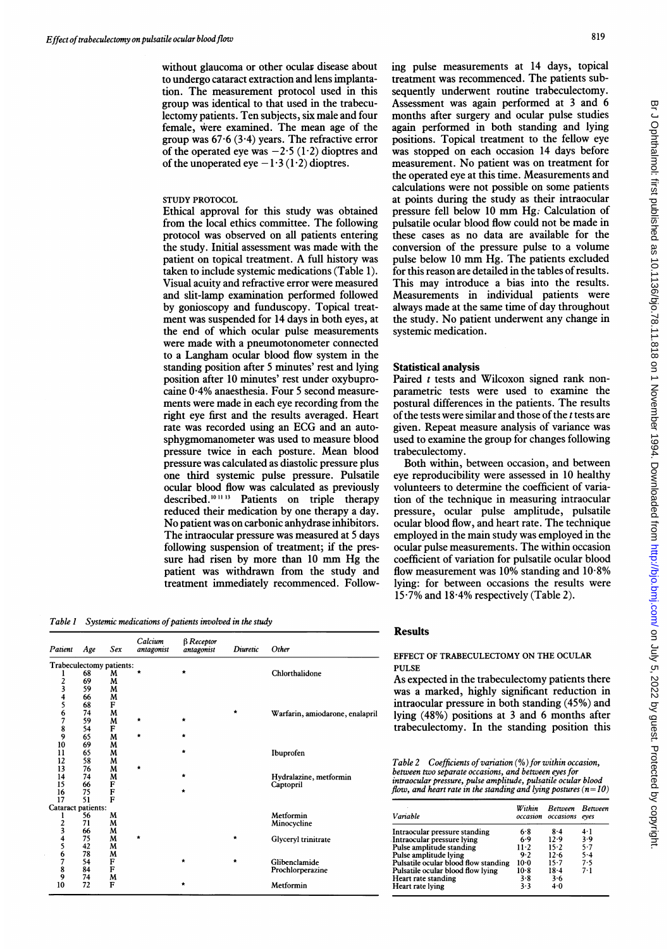without glaucoma or other ocular disease about to undergo cataract extraction and lens implantation. The measurement protocol used in this group was identical to that used in the trabeculectomy patients. Ten subjects, six male and four female, were examined. The mean age of the group was  $67.6$  (3.4) years. The refractive error of the operated eye was  $-2.5(1.2)$  dioptres and of the unoperated eye  $-1.3(1.2)$  dioptres.

# STUDY PROTOCOL

Ethical approval for this study was obtained from the local ethics committee. The following protocol was observed on all patients entering the study. Initial assessment was made with the patient on topical treatment. A full history was taken to include systemic medications (Table 1). Visual acuity and refractive error were measured and slit-lamp examination performed followed by gonioscopy and funduscopy. Topical treatment was suspended for 14 days in both eyes, at the end of which ocular pulse measurements were made with a pneumotonometer connected to a Langham ocular blood flow system in the standing position after <sup>5</sup> minutes' rest and lying position after 10 minutes' rest under oxybuprocaine 0-4% anaesthesia. Four 5 second measurements were made in each eye recording from the right eye first and the results averaged. Heart rate was recorded using an ECG and an autosphygmomanometer was used to measure blood pressure twice in each posture. Mean blood pressure was calculated as diastolic pressure plus one third systemic pulse pressure. Pulsatile ocular blood flow was calculated as previously described.<sup>10 11 13</sup> Patients on triple therapy reduced their medication by one therapy a day. No patient was on carbonic anhydrase inhibitors. The intraocular pressure was measured at <sup>5</sup> days following suspension of treatment; if the pressure had risen by more than <sup>10</sup> mm Hg the patient was withdrawn from the study and treatment immediately recommenced. Follow-

Table 1 Systemic medications of patients involved in the study

| Patient                  | Age | Sex | Calcium<br>antagonist | $\beta$ Receptor<br>antagonist | Diuretic | Other                           |
|--------------------------|-----|-----|-----------------------|--------------------------------|----------|---------------------------------|
| Trabeculectomy patients: |     |     |                       |                                |          |                                 |
|                          | 68  | M   | $\star$               | $\star$                        |          | Chlorthalidone                  |
|                          | 69  | M   |                       |                                |          |                                 |
| 2<br>3                   | 59  | M   |                       |                                |          |                                 |
|                          | 66  | M   |                       |                                |          |                                 |
|                          | 68  | F   |                       |                                |          |                                 |
|                          | 74  | M   |                       |                                | $\star$  | Warfarin, amiodarone, enalapril |
| 4567                     | 59  | M   | $\star$               | $\star$                        |          |                                 |
|                          | 54  | F   |                       |                                |          |                                 |
| $\frac{8}{9}$            | 65  | M   | $\star$               | $\star$                        |          |                                 |
| 10                       | 69  | M   |                       |                                |          |                                 |
| 11                       | 65  | M   |                       | $\star$                        |          | Ibuprofen                       |
| 12                       | 58  | M   |                       |                                |          |                                 |
| 13                       | 76  | M   | $\star$               |                                |          |                                 |
| 14                       | 74  | M   |                       | $\star$                        |          | Hydralazine, metformin          |
| 15                       | 66  | F   |                       |                                |          | Captopril                       |
| 16                       | 75  | F   |                       | $\star$                        |          |                                 |
| 17                       | 51  | F   |                       |                                |          |                                 |
| Cataract patients:       |     |     |                       |                                |          |                                 |
| ı                        | 56  | M   |                       |                                |          | Metformin                       |
|                          | 71  | M   |                       |                                |          | Minocycline                     |
| $\frac{2}{3}$            | 66  | M   |                       |                                |          |                                 |
|                          | 75  | M   | ★                     |                                | $\star$  | Glyceryl trinitrate             |
| $\frac{4}{5}$            | 42  | M   |                       |                                |          |                                 |
|                          | 78  | M   |                       |                                |          |                                 |
|                          | 54  | F   |                       | $\star$                        | *        | Glibenclamide                   |
| 6789                     | 84  | F   |                       |                                |          | Prochlorperazine                |
|                          | 74  | M   |                       |                                |          |                                 |
| 10                       | 72  | F   |                       | $\star$                        |          | Metformin                       |

ing pulse measurements at 14 days, topical treatment was recommenced. The patients subsequently underwent routine trabeculectomy. Assessment was again performed at 3 and 6 months after surgery and ocular pulse studies again performed in both standing and lying positions. Topical treatment to the fellow eye was stopped on each occasion 14 days before measurement. No patient was on treatment for the operated eye at this time. Measurements and calculations were not possible on some patients at points during the study as their intraocular pressure fell below <sup>10</sup> mm Hg: Calculation of pulsatile ocular blood flow could not be made in these cases as no data are available for the conversion of the pressure pulse to a volume pulse below <sup>10</sup> mm Hg. The patients excluded for this reason are detailed in the tables of results. This may introduce <sup>a</sup> bias into the results. Measurements in individual patients were always made at the same time of day throughout the study. No patient underwent any change in systemic medication.

## Statistical analysis

Paired *t* tests and Wilcoxon signed rank nonparametric tests were used to examine the postural differences in the patients. The results of the tests were similar and those of the <sup>t</sup> tests are given. Repeat measure analysis of variance was used to examine the group for changes following trabeculectomy.

Both within, between occasion, and between eye reproducibility were assessed in 10 healthy volunteers to determine the coefficient of variation of the technique in measuring intraocular pressure, ocular pulse amplitude, pulsatile ocular blood flow, and heart rate. The technique employed in the main study was employed in the ocular pulse measurements. The within occasion coefficient of variation for pulsatile ocular blood flow measurement was  $10\%$  standing and  $10.8\%$ lying: for between occasions the results were 15-7% and 18-4% respectively (Table 2).

## Results

### EFFECT OF TRABECULECTOMY ON THE OCULAR PULSE.

As expected in the trabeculectomy patients there was a marked, highly significant reduction in intraocular pressure in both standing (45%) and lying (48%) positions at 3 and 6 months after trabeculectomy. In the standing position this

Table 2 Coefficients of variation  $(%)$  for within occasion, between two separate occasions, and between eyes for intraocular pressure, pulse amplitude, pulsatile ocular blood flow, and heart rate in the standing and lying postures ( $n=10$ )

| Variable                             | Within | Between Between<br>occasion occasions | eves |  |
|--------------------------------------|--------|---------------------------------------|------|--|
| Intraocular pressure standing        | 6.8    | $8 - 4$                               | 4·1  |  |
| Intraocular pressure lying           | 6.9    | 12.9                                  | 3.9  |  |
| Pulse amplitude standing             | 11-2   | $15 - 2$                              | 5.7  |  |
| Pulse amplitude lying                | 9.2    | 12.6                                  | 5.4  |  |
| Pulsatile ocular blood flow standing | 10.0   | $15 - 7$                              | 7.5  |  |
| Pulsatile ocular blood flow lying    | 10-8   | $18-4$                                | 7.1  |  |
| Heart rate standing                  | 3.8    | 3.6                                   |      |  |
| Heart rate lying                     | 3.3    | $4-0$                                 |      |  |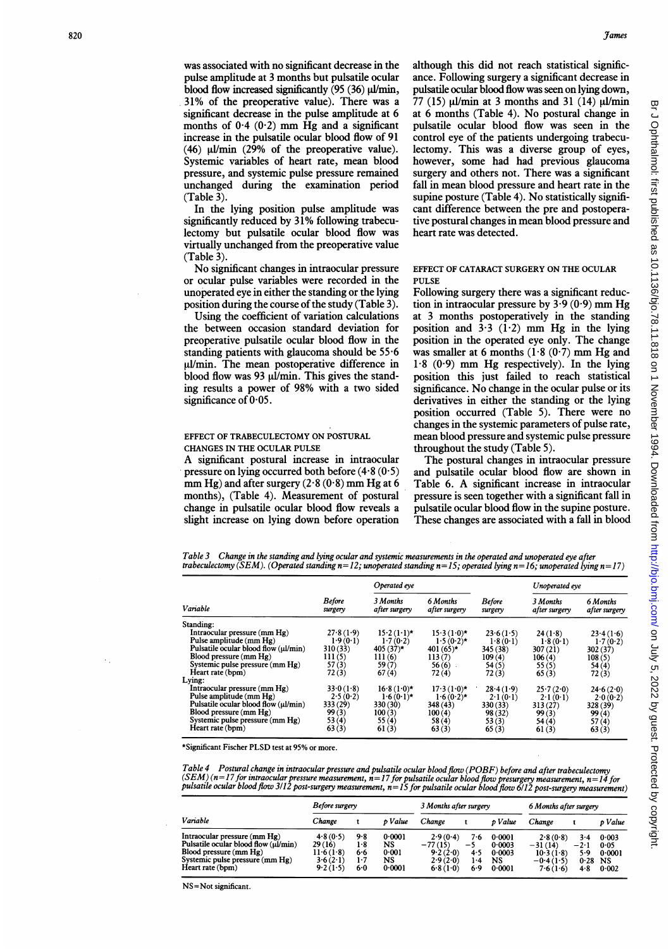games<br>
Was associated with no significant decrease in the although this did not reach statistical signific was associated with no significant decrease in the pulse amplitude at 3 months but pulsatile ocular blood flow increased significantly  $(95 (36) \mu\text{l/min}$ , 31% of the preoperative value). There was a significant decrease in the pulse amplitude at 6 months of  $0.4$  ( $0.2$ ) mm Hg and a significant increase in the pulsatile ocular blood flow of 91 (46)  $\mu$ I/min (29% of the preoperative value). Systemic variables of heart rate, mean blood pressure, and systemic pulse pressure remained unchanged during the examination period  $(Table 3)$ .

> In the lying position pulse amplitude was significantly reduced by 31% following trabeculectomy but pulsatile ocular blood flow was virtually unchanged from the preoperative value (Table 3).

> No significant changes in intraocular pressure or ocular pulse variables were recorded in the unoperated eye in either the standing or the lying position during the course of the study (Table 3).

Using the coefficient of variation calculations the between occasion standard deviation for preoperative pulsatile ocular blood flow in the standing patients with glaucoma should be 55-6 ul/min. The mean postoperative difference in blood flow was 93  $\mu$ l/min. This gives the standing results a power of 98% with a two sided significance of  $0.05$ .

## EFFECT OF TRABECULECTOMY ON POSTURAL CHANGES IN THE OCULAR PULSE

A significant postural increase in intraocular pressure on lying occurred both before  $(4.8(0.5))$ mm Hg) and after surgery  $(2.8 (0.8)$  mm Hg at 6 months), (Table 4). Measurement of postural change in pulsatile ocular blood flow reveals a slight increase on lying down before operation although this did not reach statistical significance. Following surgery a significant decrease in pulsatile ocular blood flow was seen on lying down, 77 (15)  $\mu$ I/min at 3 months and 31 (14)  $\mu$ I/min at 6 months (Table 4). No postural change in pulsatile ocular blood flow was seen in the control eye of the patients undergoing trabeculectomy. This was a diverse group of eyes, however, some had had previous glaucoma surgery and others not. There was a significant fall in mean blood pressure and heart rate in the supine posture (Table 4). No statistically significant difference between the pre and postoperative postural changes in mean blood pressure and heart rate was detected.

## EFFECT OF CATARACT SURGERY ON THE OCULAR **PULSE**

Following surgery there was a significant reduction in intraocular pressure by  $3-9(0.9)$  mm Hg at 3 months postoperatively in the standing position and  $3.3$  (1.2) mm Hg in the lying position in the operated eye only. The change was smaller at 6 months  $(1.8 (0.7)$  mm Hg and  $1.8$  (0.9) mm Hg respectively). In the lying position this just failed to reach statistical significance. No change in the ocular pulse or its derivatives in either the standing or the lying position occurred (Table 5). There were no changes in the systemic parameters of pulse rate, mean blood pressure and systemic pulse pressure throughout the study (Table 5).

The postural changes in intraocular pressure and pulsatile ocular blood flow are shown in Table 6. A significant increase in intraocular pressure is seen together with a significant fall in pulsatile ocular blood flow in the supine posture. These changes are associated with a fall in blood

Table 3 Change in the standing and lying ocular and systemic measurements in the operated and unoperated eye after trabeculectomy (SEM). (Operated standing  $n=12$ ; unoperated standing  $n=15$ ; operated lying  $n=16$ ; unoperated lying  $n=17$ )

|                                      |                          | Operated eve              |                           |                          | Unoperated eye            |                           |  |
|--------------------------------------|--------------------------|---------------------------|---------------------------|--------------------------|---------------------------|---------------------------|--|
| Variable                             | <b>Before</b><br>surgery | 3 Months<br>after surgery | 6 Months<br>after surgery | <b>Before</b><br>surgery | 3 Months<br>after surgery | 6 Months<br>after surgery |  |
| Standing:                            |                          |                           |                           |                          |                           |                           |  |
| Intraocular pressure (mm Hg)         | 27.8(1.9)                | $15.2(1.1)$ *             | $15.3(1.0)$ *             | 23.6(1.5)                | 24(1.8)                   | 23.4(1.6)                 |  |
| Pulse amplitude (mm Hg)              | 1.9(0.1)                 | 1.7(0.2)                  | $1.5(0.2)$ *              | 1.8(0.1)                 | 1.8(0.1)                  | 1.7(0.2)                  |  |
| Pulsatile ocular blood flow (ul/min) | 310(33)                  | $405(37)$ *               | $401(65)^*$               | 345 (38)                 | 307(21)                   | 302(37)                   |  |
| Blood pressure (mm Hg)               | 111(5)                   | 111(6)                    | 113(7)                    | 109(4)                   | 106(4)                    | 108(5)                    |  |
| Systemic pulse pressure (mm Hg)      | 57(3)                    | 59(7)                     | $56(6)$ .                 | 54(5)                    | 55(5)                     | 54(4)                     |  |
| Heart rate (bpm)                     | 72(3)                    | 67(4)                     | 72(4)                     | 72(3)                    | 65(3)                     | 72(3)                     |  |
| Lying:                               |                          |                           |                           |                          |                           |                           |  |
| Intraocular pressure (mm Hg)         | 33.0(1.8)                | $16.8(1.0)$ *             | $17.3(1.0)$ *             | 28.4(1.9)                | 25.7(2.0)                 | 24.6(2.0)                 |  |
| Pulse amplitude (mm Hg)              | 2.5(0.2)                 | $1.6(0.1)$ *              | $1.6(0.2)$ *              | 2.1(0.1)                 | 2.1(0.1)                  | 2.0(0.2)                  |  |
| Pulsatile ocular blood flow (ul/min) | 333 (29)                 | 330(30)                   | 348(43)                   | 330 (33)                 | 313(27)                   | 328 (39)                  |  |
| Blood pressure (mm Hg)               | 99(3)                    | 100(3)                    | 100(4)                    | 98 (32)                  | 99(3)                     | 99(4)                     |  |
| Systemic pulse pressure (mm Hg)      | 53(4)                    | 55(4)                     | 58(4)                     | 53(3)                    | 54(4)                     | 57(4)                     |  |
| Heart rate (bpm)                     | 63(3)                    | 61(3)                     | 63(3)                     | 65(3)                    | 61(3)                     | 63(3)                     |  |

\*Significant Fischer PLSD test at 95% or more.

Table 4 Postural change in intraocular pressure and pulsatile ocular blood flow (POBF) before and after trabeculectomy (SEM) (n=17 for intraocular pressure measurement, n=17 for pulsatile ocular blood flow presurgery measurement, n=14 for<br>pulsatile ocular blood flow 3/12 post-surgery measurement, n=15 for pulsatile ocular blood flow 6/12 p

|                                                                                                                                                       | Before surgery                                             |                                 |                                       | 3 Months after surgery                                    |                                  |                                            | 6 Months after surgery                                        |                                         |                                               |
|-------------------------------------------------------------------------------------------------------------------------------------------------------|------------------------------------------------------------|---------------------------------|---------------------------------------|-----------------------------------------------------------|----------------------------------|--------------------------------------------|---------------------------------------------------------------|-----------------------------------------|-----------------------------------------------|
| Variable                                                                                                                                              | Change                                                     |                                 | p Value                               | Change                                                    |                                  | p Value                                    | Change                                                        |                                         | p Value                                       |
| Intraocular pressure (mm Hg)<br>Pulsatile ocular blood flow (ul/min)<br>Blood pressure (mm Hg)<br>Systemic pulse pressure (mm Hg)<br>Heart rate (bpm) | 4.8(0.5)<br>29 (16)<br>$11-6(1-8)$<br>3.6(2.1)<br>9.2(1.5) | 9.8<br>1-8<br>6.6<br>1.7<br>6.0 | 0.0001<br>NS<br>0.001<br>NS<br>0.0001 | 2.9(0.4)<br>$-77(15)$<br>9.2(2.0)<br>2.9(2.0)<br>6.8(1.0) | 7.6<br>$-5$<br>4.5<br>1.4<br>6.9 | 0.0001<br>0.0003<br>0.0003<br>NS<br>0.0001 | 2.8(0.8)<br>$-31(14)$<br>10.3(1.8)<br>$-0.4(1.5)$<br>7.6(1.6) | $3 - 4$<br>$-2.1$<br>5.9<br>0.28<br>4.8 | 0.003<br>0.05<br>0.0001<br><b>NS</b><br>0.002 |

NS=Not significant.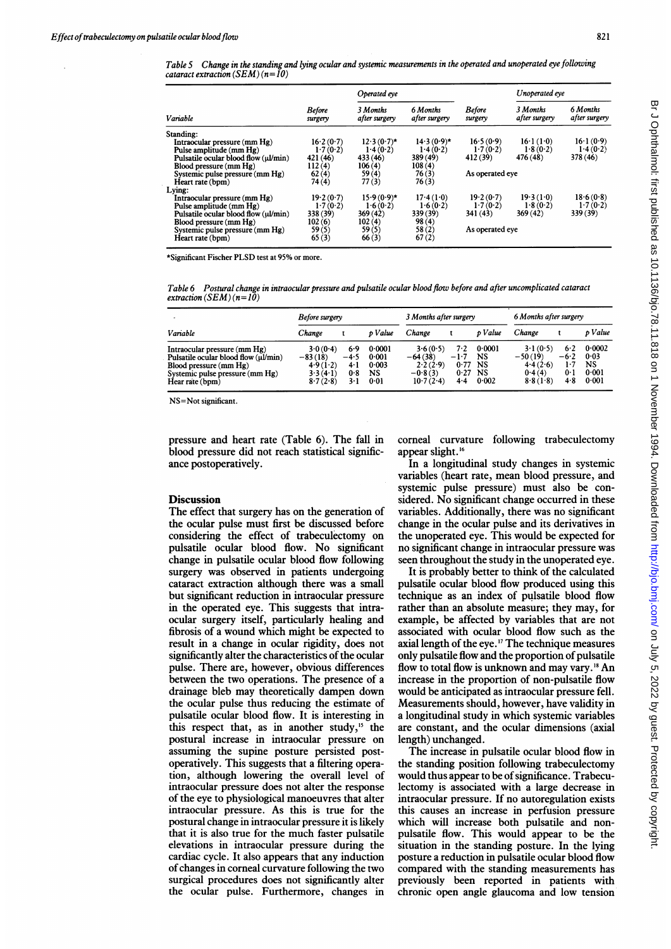|                                      |                          | Operated eye              |                           |                          | Unoperated eve            |                           |  |
|--------------------------------------|--------------------------|---------------------------|---------------------------|--------------------------|---------------------------|---------------------------|--|
| Variable                             | <b>Before</b><br>surgery | 3 Months<br>after surgery | 6 Months<br>after surgery | <b>Before</b><br>surgery | 3 Months<br>after surgery | 6 Months<br>after surgery |  |
| Standing:                            |                          |                           |                           |                          |                           |                           |  |
| Intraocular pressure (mm Hg)         | 16.2(0.7)                | $12.3(0.7)$ *             | $14.3(0.9)$ *             | 16.5(0.9)                | 16.1(1.0)                 | 16.1(0.9)                 |  |
| Pulse amplitude (mm Hg)              | 1.7(0.2)                 | 1.4(0.2)                  | 1.4(0.2)                  | 1.7(0.2)                 | 1.8(0.2)                  | 1.4(0.2)                  |  |
| Pulsatile ocular blood flow (ul/min) | 421 (46)                 | 433 (46)                  | 389 (49)                  | 412 (39)                 | 476 (48)                  | 378 (46)                  |  |
| Blood pressure (mm Hg)               | 112(4)                   | 106(4)                    | 108(4)                    |                          |                           |                           |  |
| Systemic pulse pressure (mm Hg)      | 62(4)                    | 59(4)                     | 76(3)                     | As operated eve          |                           |                           |  |
| Heart rate (bpm)                     | 74 (4)                   | 77(3)                     | 76(3)                     |                          |                           |                           |  |
| Lying:                               |                          |                           |                           |                          |                           |                           |  |
| Intraocular pressure (mm Hg)         | 19.2(0.7)                | $15.9(0.9)$ *             | 17.4(1.0)                 | 19.2(0.7)                | 19.3(1.0)                 | 18.6(0.8)                 |  |
| Pulse amplitude (mm Hg)              | 1.7(0.2)                 | 1.6(0.2)                  | 1.6(0.2)                  | 1.7(0.2)                 | 1.8(0.2)                  | 1.7(0.2)                  |  |
| Pulsatile ocular blood flow (ul/min) | 338 (39)                 | 369(42)                   | 339 (39)                  | 341 (43)                 | 369(42)                   | 339 (39)                  |  |
| Blood pressure (mm Hg)               | 102(6)                   | 102(4)                    | 98(4)                     |                          |                           |                           |  |
| Systemic pulse pressure (mm Hg)      | 59(5)                    | 59(5)                     | 58(2)                     | As operated eye          |                           |                           |  |
| Heart rate (bpm)                     | 65(3)                    | 66(3)                     | 67(2)                     |                          |                           |                           |  |

\*Significant Fischer PLSD test at 95% or more.

Table 6 Postural change in intraocular pressure and pulsatile ocular blood flow before and after uncomplicated cataract extraction (SEM) ( $n=10$ )

|                                                                                                                                                        | Before surgery                                            |                                    |                                        | 3 Months after surgery                                      |                                      |                                                 | 6 Months after surgery                                  |                                               |                                        |
|--------------------------------------------------------------------------------------------------------------------------------------------------------|-----------------------------------------------------------|------------------------------------|----------------------------------------|-------------------------------------------------------------|--------------------------------------|-------------------------------------------------|---------------------------------------------------------|-----------------------------------------------|----------------------------------------|
| Variable                                                                                                                                               | Change                                                    |                                    | p Value                                | Change                                                      |                                      | o Value                                         | Change                                                  |                                               | p Value                                |
| Intraocular pressure $(mm Hg)$<br>Pulsatile ocular blood flow (µl/min)<br>Blood pressure (mm Hg)<br>Systemic pulse pressure (mm Hg)<br>Hear rate (bpm) | 3.0(0.4)<br>$-83(18)$<br>4.9(1.2)<br>3.3(4.1)<br>8.7(2.8) | 6.9<br>$-4.5$<br>4.1<br>0.8<br>3-1 | 0.0001<br>0.001<br>0.003<br>NS<br>0.01 | 3.6(0.5)<br>$-64(38)$<br>2.2(2.9)<br>$-0.8(3)$<br>10.7(2.4) | 7.2<br>$-1.7$<br>0.77<br>0.27<br>4.4 | 0.0001<br>NS<br><b>NS</b><br><b>NS</b><br>0.002 | 3.1(0.5)<br>$-50(19)$<br>4.4(2.6)<br>0.4(4)<br>8.8(1.8) | 6.2<br>$-6.2$<br>1.7<br>0 <sup>1</sup><br>4.8 | 0.0002<br>0.03<br>NS<br>0.001<br>0.001 |

NS=Not significant.

pressure and heart rate (Table 6). The fall in blood pressure did not reach statistical significance postoperatively.

## **Discussion**

The effect that surgery has on the generation of the ocular pulse must first be discussed before considering the effect of trabeculectomy on pulsatile ocular blood flow. No significant change in pulsatile ocular blood flow following surgery was observed in patients undergoing cataract extraction although there was a small but significant reduction in intraocular pressure in the operated eye. This suggests that intraocular surgery itself, particularly healing and fibrosis of a wound which might be expected to result in a change in ocular rigidity, does not significantly alter the characteristics of the ocular pulse. There are, however, obvious differences between the two operations. The presence of a drainage bleb may theoretically dampen down the ocular pulse thus reducing the estimate of pulsatile ocular blood flow. It is interesting in this respect that, as in another study, $15$  the postural increase in intraocular pressure on assuming the supine posture persisted postoperatively. This suggests that a filtering operation, although lowering the overall level of intraocular pressure does not alter the response of the eye to physiological manoeuvres that alter intraocular pressure. As this is true for the postural change in intraocular pressure it is likely that it is also true for the much faster pulsatile elevations in intraocular pressure during the cardiac cycle. It also appears that any induction of changes in corneal curvature following the two surgical procedures does not significantly alter the ocular pulse. Furthermore, changes in

corneal curvature following trabeculectomy appear slight.'6

In a longitudinal study changes in systemic variables (heart rate, mean blood pressure, and systemic pulse pressure) must also be considered. No significant change occurred in these variables. Additionally, there was no significant change in the ocular pulse and its derivatives in the unoperated eye. This would be expected for no significant change in intraocular pressure was seen throughout the study in the unoperated eye.

It is probably better to think of the calculated pulsatile ocular blood flow produced using this technique as an index of pulsatile blood flow rather than an absolute measure; they may, for example, be affected by variables that are not associated with ocular blood flow such as the axial length of the eye. <sup>17</sup> The technique measures only pulsatile flow and the proportion of pulsatile flow to total flow is unknown and may vary.'8 An increase in the proportion of non-pulsatile flow would be anticipated as intraocular pressure fell. Measurements should, however, have validity in a longitudinal study in which systemic variables are constant, and the ocular dimensions (axial length) unchanged.

The increase in pulsatile ocular blood flow in the standing position following trabeculectomy would thus appear to be of significance. Trabeculectomy is associated with a large decrease in intraocular pressure. If no autoregulation exists this causes an increase in perfusion pressure which will increase both pulsatile and nonpulsatile flow. This would appear to be the situation in the standing posture. In the lying posture a reduction in pulsatile ocular blood flow compared with the standing measurements has previously been reported in patients with chronic open angle glaucoma and low tension

821